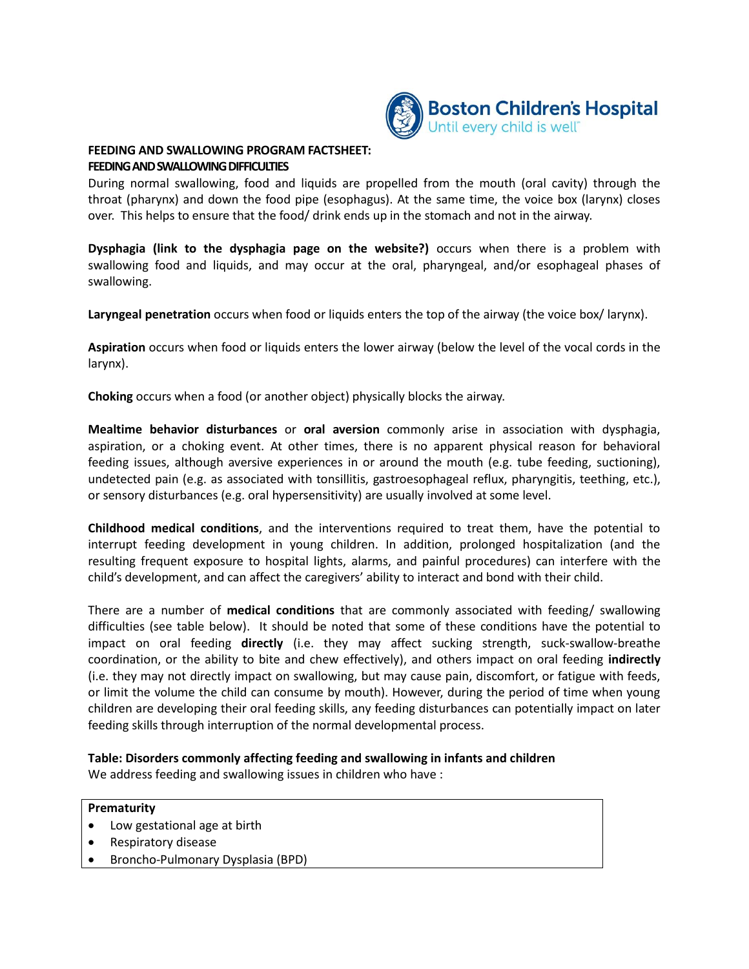

#### **FEEDING AND SWALLOWING PROGRAM FACTSHEET: FEEDING AND SWALLOWING DIFFICULTIES**

During normal swallowing, food and liquids are propelled from the mouth (oral cavity) through the throat (pharynx) and down the food pipe (esophagus). At the same time, the voice box (larynx) closes over. This helps to ensure that the food/ drink ends up in the stomach and not in the airway.

**Dysphagia (link to the dysphagia page on the website?)** occurs when there is a problem with swallowing food and liquids, and may occur at the oral, pharyngeal, and/or esophageal phases of swallowing.

**Laryngeal penetration** occurs when food or liquids enters the top of the airway (the voice box/ larynx).

**Aspiration** occurs when food or liquids enters the lower airway (below the level of the vocal cords in the larynx).

**Choking** occurs when a food (or another object) physically blocks the airway.

**Mealtime behavior disturbances** or **oral aversion** commonly arise in association with dysphagia, aspiration, or a choking event. At other times, there is no apparent physical reason for behavioral feeding issues, although aversive experiences in or around the mouth (e.g. tube feeding, suctioning), undetected pain (e.g. as associated with tonsillitis, gastroesophageal reflux, pharyngitis, teething, etc.), or sensory disturbances (e.g. oral hypersensitivity) are usually involved at some level.

**Childhood medical conditions**, and the interventions required to treat them, have the potential to interrupt feeding development in young children. In addition, prolonged hospitalization (and the resulting frequent exposure to hospital lights, alarms, and painful procedures) can interfere with the child's development, and can affect the caregivers' ability to interact and bond with their child.

There are a number of **medical conditions** that are commonly associated with feeding/ swallowing difficulties (see table below). It should be noted that some of these conditions have the potential to impact on oral feeding **directly** (i.e. they may affect sucking strength, suck-swallow-breathe coordination, or the ability to bite and chew effectively), and others impact on oral feeding **indirectly**  (i.e. they may not directly impact on swallowing, but may cause pain, discomfort, or fatigue with feeds, or limit the volume the child can consume by mouth). However, during the period of time when young children are developing their oral feeding skills, any feeding disturbances can potentially impact on later feeding skills through interruption of the normal developmental process.

## **Table: Disorders commonly affecting feeding and swallowing in infants and children**

We address feeding and swallowing issues in children who have :

#### **Prematurity**

- Low gestational age at birth
- Respiratory disease
- Broncho-Pulmonary Dysplasia (BPD)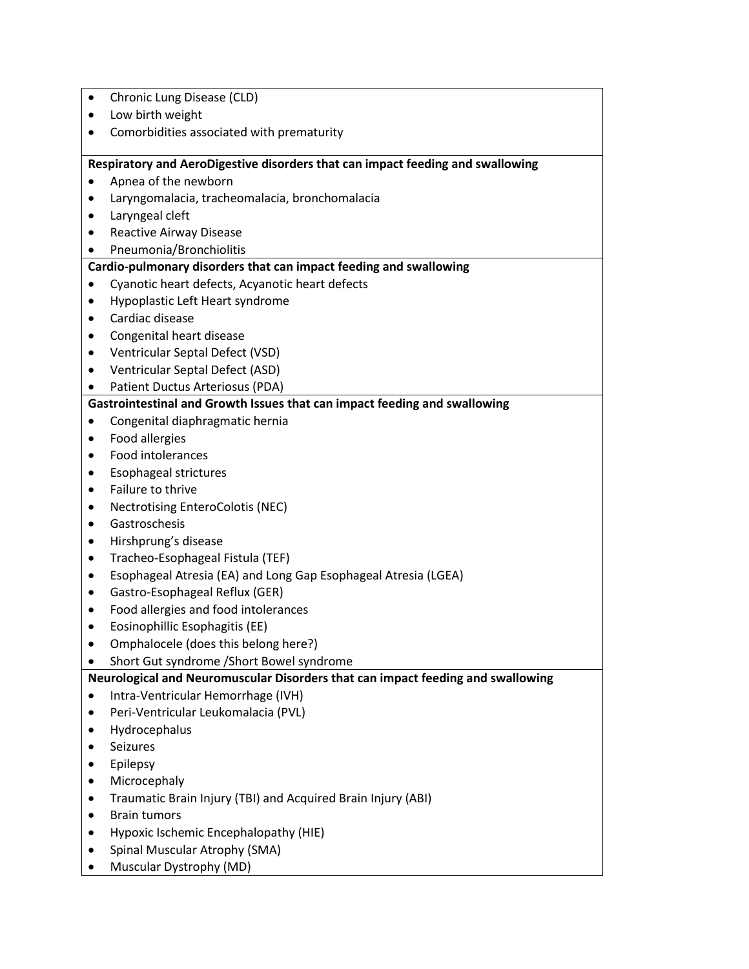| ٠                                                                              | Chronic Lung Disease (CLD)                                                      |  |
|--------------------------------------------------------------------------------|---------------------------------------------------------------------------------|--|
| ٠                                                                              | Low birth weight                                                                |  |
| ٠                                                                              | Comorbidities associated with prematurity                                       |  |
|                                                                                |                                                                                 |  |
| Respiratory and AeroDigestive disorders that can impact feeding and swallowing |                                                                                 |  |
|                                                                                | Apnea of the newborn                                                            |  |
| ٠                                                                              | Laryngomalacia, tracheomalacia, bronchomalacia                                  |  |
| ٠                                                                              | Laryngeal cleft                                                                 |  |
| ٠                                                                              | Reactive Airway Disease                                                         |  |
| ٠                                                                              | Pneumonia/Bronchiolitis                                                         |  |
|                                                                                | Cardio-pulmonary disorders that can impact feeding and swallowing               |  |
|                                                                                | Cyanotic heart defects, Acyanotic heart defects                                 |  |
| ٠                                                                              | Hypoplastic Left Heart syndrome<br>Cardiac disease                              |  |
| ٠                                                                              |                                                                                 |  |
| ٠                                                                              | Congenital heart disease<br>Ventricular Septal Defect (VSD)                     |  |
| ٠<br>٠                                                                         | Ventricular Septal Defect (ASD)                                                 |  |
|                                                                                | Patient Ductus Arteriosus (PDA)                                                 |  |
|                                                                                | Gastrointestinal and Growth Issues that can impact feeding and swallowing       |  |
| ٠                                                                              | Congenital diaphragmatic hernia                                                 |  |
| ٠                                                                              | Food allergies                                                                  |  |
| ٠                                                                              | Food intolerances                                                               |  |
| ٠                                                                              | <b>Esophageal strictures</b>                                                    |  |
| ٠                                                                              | Failure to thrive                                                               |  |
| $\bullet$                                                                      | Nectrotising EnteroColotis (NEC)                                                |  |
| $\bullet$                                                                      | Gastroschesis                                                                   |  |
| ٠                                                                              | Hirshprung's disease                                                            |  |
| ٠                                                                              | Tracheo-Esophageal Fistula (TEF)                                                |  |
| ٠                                                                              | Esophageal Atresia (EA) and Long Gap Esophageal Atresia (LGEA)                  |  |
| ٠                                                                              | Gastro-Esophageal Reflux (GER)                                                  |  |
| ٠                                                                              | Food allergies and food intolerances                                            |  |
| $\bullet$                                                                      | Eosinophillic Esophagitis (EE)                                                  |  |
|                                                                                | Omphalocele (does this belong here?)                                            |  |
|                                                                                | Short Gut syndrome / Short Bowel syndrome                                       |  |
|                                                                                | Neurological and Neuromuscular Disorders that can impact feeding and swallowing |  |
| ٠                                                                              | Intra-Ventricular Hemorrhage (IVH)                                              |  |
| ٠                                                                              | Peri-Ventricular Leukomalacia (PVL)                                             |  |
| ٠                                                                              | Hydrocephalus                                                                   |  |
|                                                                                | Seizures                                                                        |  |
|                                                                                | Epilepsy                                                                        |  |
| ٠                                                                              | Microcephaly                                                                    |  |
| ٠                                                                              | Traumatic Brain Injury (TBI) and Acquired Brain Injury (ABI)                    |  |
| ٠                                                                              | <b>Brain tumors</b>                                                             |  |
| ٠                                                                              | Hypoxic Ischemic Encephalopathy (HIE)                                           |  |
|                                                                                | Spinal Muscular Atrophy (SMA)                                                   |  |
|                                                                                | Muscular Dystrophy (MD)                                                         |  |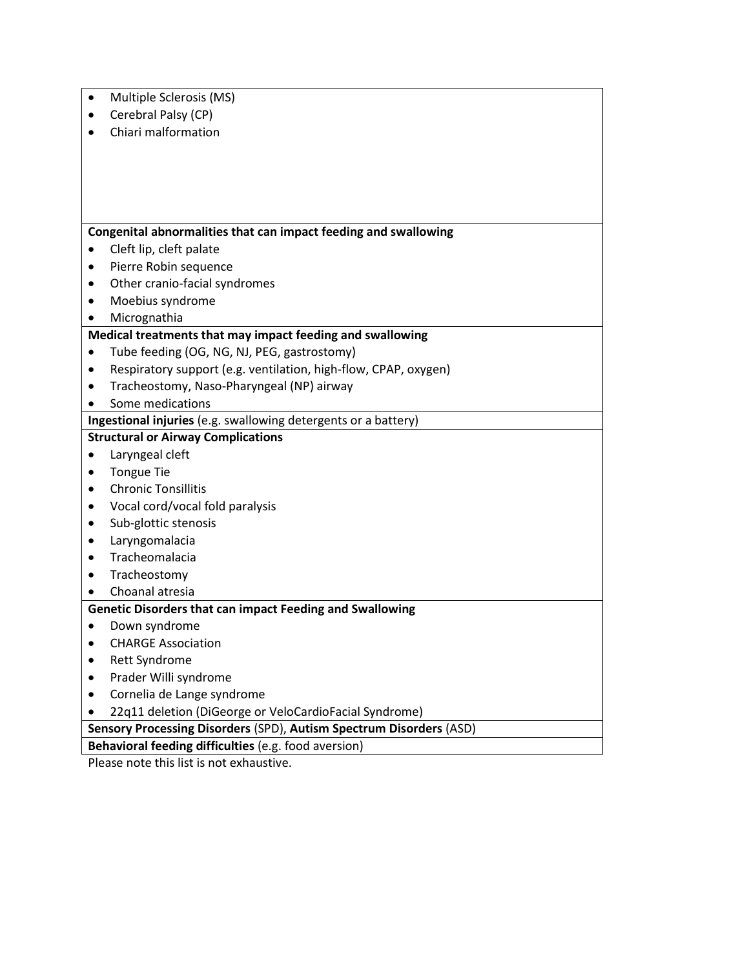| Multiple Sclerosis (MS) |
|-------------------------|
| Canabual Daleu (CD)     |

- Cerebral Palsy (CP)
- Chiari malformation

## **Congenital abnormalities that can impact feeding and swallowing**

- Cleft lip, cleft palate
- Pierre Robin sequence
- Other cranio-facial syndromes
- Moebius syndrome
- Micrognathia

#### **Medical treatments that may impact feeding and swallowing**

- Tube feeding (OG, NG, NJ, PEG, gastrostomy)
- Respiratory support (e.g. ventilation, high-flow, CPAP, oxygen)
- Tracheostomy, Naso-Pharyngeal (NP) airway
- Some medications

**Ingestional injuries** (e.g. swallowing detergents or a battery)

# **Structural or Airway Complications**

- Laryngeal cleft
- Tongue Tie
- Chronic Tonsillitis
- Vocal cord/vocal fold paralysis
- Sub-glottic stenosis
- Laryngomalacia
- Tracheomalacia
- Tracheostomy
- Choanal atresia

## **Genetic Disorders that can impact Feeding and Swallowing**

- Down syndrome
- CHARGE Association
- Rett Syndrome
- Prader Willi syndrome
- Cornelia de Lange syndrome
- 22q11 deletion (DiGeorge or VeloCardioFacial Syndrome)

**Sensory Processing Disorders** (SPD), **Autism Spectrum Disorders** (ASD)

**Behavioral feeding difficulties** (e.g. food aversion)

Please note this list is not exhaustive.